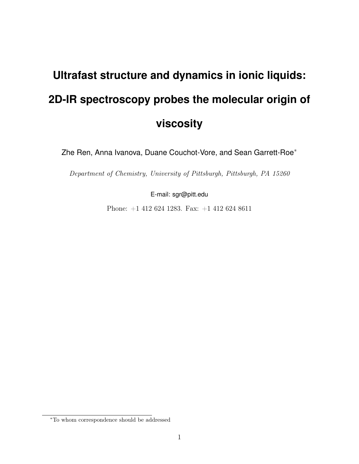## **Ultrafast structure and dynamics in ionic liquids: 2D-IR spectroscopy probes the molecular origin of viscosity**

Zhe Ren, Anna Ivanova, Duane Couchot-Vore, and Sean Garrett-Roe<sup>∗</sup>

Department of Chemistry, University of Pittsburgh, Pittsburgh, PA 15260

E-mail: sgr@pitt.edu

Phone: +1 412 624 1283. Fax: +1 412 624 8611

<sup>∗</sup>To whom correspondence should be addressed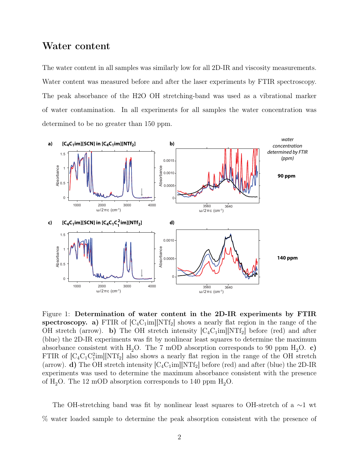## Water content

The water content in all samples was similarly low for all 2D-IR and viscosity measurements. Water content was measured before and after the laser experiments by FTIR spectroscopy. The peak absorbance of the H2O OH stretching-band was used as a vibrational marker of water contamination. In all experiments for all samples the water concentration was determined to be no greater than 150 ppm.



Figure 1: Determination of water content in the 2D-IR experiments by FTIR spectroscopy. a) FTIR of  $[C_4C_1im][NTf_2]$  shows a nearly flat region in the range of the OH stretch (arrow). b) The OH stretch intensity  $[C_4C_1im][NT_2]$  before (red) and after (blue) the 2D-IR experiments was fit by nonlinear least squares to determine the maximum absorbance consistent with H<sub>2</sub>O. The 7 mOD absorption corresponds to 90 ppm H<sub>2</sub>O. c) FTIR of  $[C_4C_1C_1^2$ im][NTf<sub>2</sub>] also shows a nearly flat region in the range of the OH stretch (arrow). d) The OH stretch intensity  $[C_4C_1im][NTf_2]$  before (red) and after (blue) the 2D-IR experiments was used to determine the maximum absorbance consistent with the presence of  $H_2O$ . The 12 mOD absorption corresponds to 140 ppm  $H_2O$ .

The OH-stretching band was fit by nonlinear least squares to OH-stretch of a ∼1 wt % water loaded sample to determine the peak absorption consistent with the presence of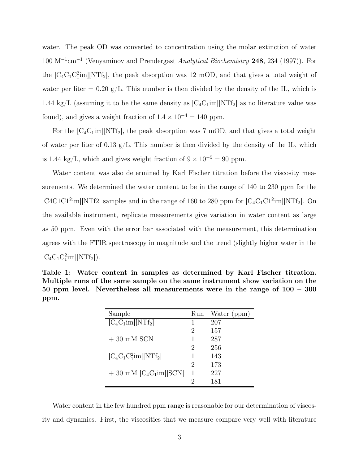water. The peak OD was converted to concentration using the molar extinction of water  $100 \text{ M}^{-1} \text{cm}^{-1}$  (Venyaminov and Prendergast Analytical Biochemistry 248, 234 (1997)). For the  $[C_4C_1C_1^2$ im][NTf<sub>2</sub>], the peak absorption was 12 mOD, and that gives a total weight of water per liter  $= 0.20 \text{ g/L}$ . This number is then divided by the density of the IL, which is 1.44 kg/L (assuming it to be the same density as  $[C_4C_1im][NTf_2]$  as no literature value was found), and gives a weight fraction of  $1.4 \times 10^{-4} = 140$  ppm.

For the  $[C_4C_1im][NTf_2]$ , the peak absorption was 7 mOD, and that gives a total weight of water per liter of 0.13 g/L. This number is then divided by the density of the IL, which is 1.44 kg/L, which and gives weight fraction of  $9 \times 10^{-5} = 90$  ppm.

Water content was also determined by Karl Fischer titration before the viscosity measurements. We determined the water content to be in the range of 140 to 230 ppm for the [C4C1C1<sup>2</sup>im][NTf2] samples and in the range of 160 to 280 ppm for  $[C_4C_1C_1^2$ im][NTf<sub>2</sub>]. On the available instrument, replicate measurements give variation in water content as large as 50 ppm. Even with the error bar associated with the measurement, this determination agrees with the FTIR spectroscopy in magnitude and the trend (slightly higher water in the  $[C_4C_1C_1^2$ im][NTf<sub>2</sub>]).

|      | Table 1: Water content in samples as determined by Karl Fischer titration.    |  |  |  |  |
|------|-------------------------------------------------------------------------------|--|--|--|--|
|      | Multiple runs of the same sample on the same instrument show variation on the |  |  |  |  |
|      | 50 ppm level. Nevertheless all measurements were in the range of $100 - 300$  |  |  |  |  |
| ppm. |                                                                               |  |  |  |  |

| Sample                      | Run | Water (ppm) |
|-----------------------------|-----|-------------|
| $[C_4C_1im][NTf_2]$         |     | 207         |
|                             | 2   | 157         |
| $+30$ mM SCN                |     | 287         |
|                             | 2   | 256         |
| $[C_4C_1C_1^2$ im $[NTf_2]$ |     | 143         |
|                             | 2   | 173         |
| $+30$ mM $[C_4C_1$ im][SCN] | 1   | 227         |
|                             | 2   | 181         |

Water content in the few hundred ppm range is reasonable for our determination of viscosity and dynamics. First, the viscosities that we measure compare very well with literature